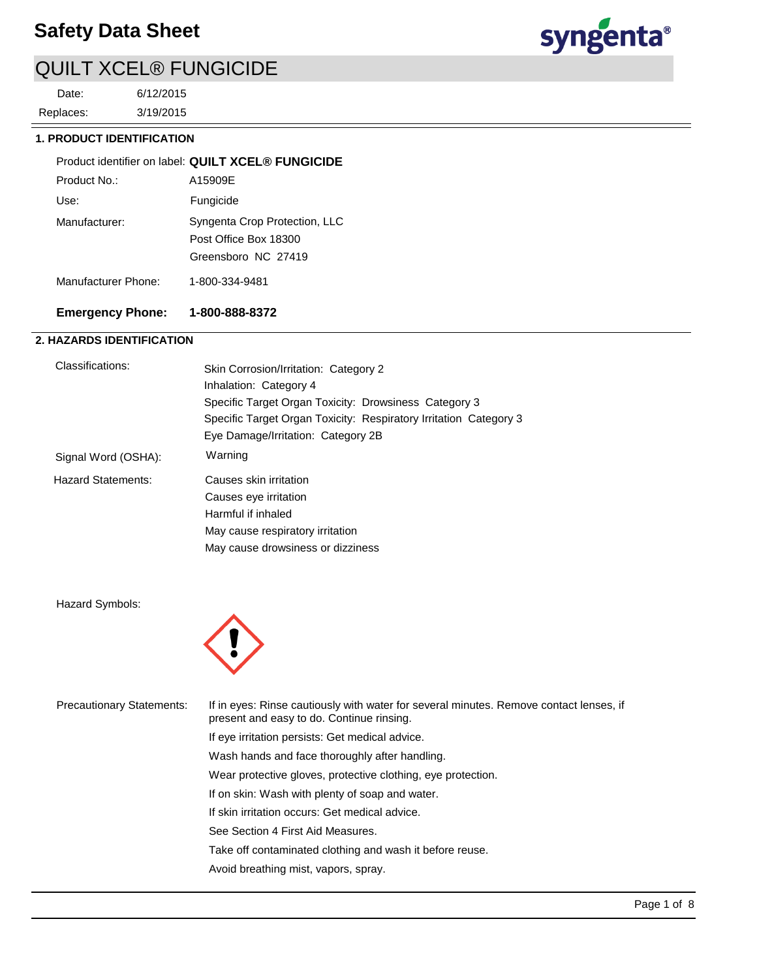

3/19/2015 6/12/2015 Replaces: Date:



## **1. PRODUCT IDENTIFICATION**

|                     | Product identifier on label: QUILT XCEL® FUNGICIDE                            |
|---------------------|-------------------------------------------------------------------------------|
| Product No.:        | A15909F                                                                       |
| Use:                | Fungicide                                                                     |
| Manufacturer:       | Syngenta Crop Protection, LLC<br>Post Office Box 18300<br>Greensboro NC 27419 |
| Manufacturer Phone: | 1-800-334-9481                                                                |

## **Emergency Phone: 1-800-888-8372**

## **2. HAZARDS IDENTIFICATION**

| Classifications:          | Skin Corrosion/Irritation: Category 2<br>Inhalation: Category 4   |  |  |
|---------------------------|-------------------------------------------------------------------|--|--|
|                           | Specific Target Organ Toxicity: Drowsiness Category 3             |  |  |
|                           | Specific Target Organ Toxicity: Respiratory Irritation Category 3 |  |  |
|                           | Eye Damage/Irritation: Category 2B                                |  |  |
| Signal Word (OSHA):       | Warning                                                           |  |  |
| <b>Hazard Statements:</b> | Causes skin irritation                                            |  |  |
|                           | Causes eye irritation                                             |  |  |
|                           | Harmful if inhaled                                                |  |  |
|                           | May cause respiratory irritation                                  |  |  |
|                           | May cause drowsiness or dizziness                                 |  |  |

Hazard Symbols:



| <b>Precautionary Statements:</b> | If in eyes: Rinse cautiously with water for several minutes. Remove contact lenses, if<br>present and easy to do. Continue rinsing. |
|----------------------------------|-------------------------------------------------------------------------------------------------------------------------------------|
|                                  | If eye irritation persists: Get medical advice.                                                                                     |
|                                  | Wash hands and face thoroughly after handling.                                                                                      |
|                                  | Wear protective gloves, protective clothing, eye protection.                                                                        |
|                                  | If on skin: Wash with plenty of soap and water.                                                                                     |
|                                  | If skin irritation occurs: Get medical advice.                                                                                      |
|                                  | See Section 4 First Aid Measures.                                                                                                   |
|                                  | Take off contaminated clothing and wash it before reuse.                                                                            |
|                                  | Avoid breathing mist, vapors, spray.                                                                                                |
|                                  |                                                                                                                                     |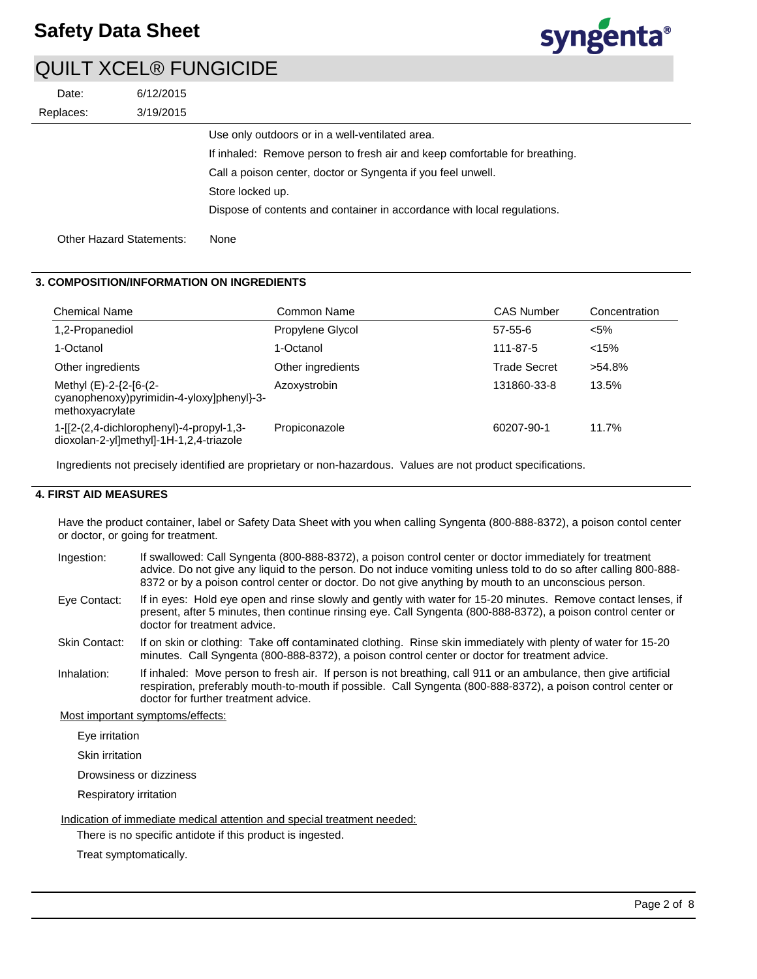

| Date:                    | 6/12/2015 |                                                                            |
|--------------------------|-----------|----------------------------------------------------------------------------|
| Replaces:                | 3/19/2015 |                                                                            |
|                          |           | Use only outdoors or in a well-ventilated area.                            |
|                          |           | If inhaled: Remove person to fresh air and keep comfortable for breathing. |
|                          |           | Call a poison center, doctor or Syngenta if you feel unwell.               |
|                          |           | Store locked up.                                                           |
|                          |           | Dispose of contents and container in accordance with local regulations.    |
| Other Hazard Statements: |           | None                                                                       |

## **3. COMPOSITION/INFORMATION ON INGREDIENTS**

| <b>Chemical Name</b>                                                                   | Common Name       | <b>CAS Number</b>   | Concentration |
|----------------------------------------------------------------------------------------|-------------------|---------------------|---------------|
| 1,2-Propanediol                                                                        | Propylene Glycol  | $57-55-6$           | $< 5\%$       |
| 1-Octanol                                                                              | 1-Octanol         | 111-87-5            | < 15%         |
| Other ingredients                                                                      | Other ingredients | <b>Trade Secret</b> | $>54.8\%$     |
| Methyl (E)-2-{2-[6-(2-<br>cyanophenoxy)pyrimidin-4-yloxy]phenyl}-3-<br>methoxyacrylate | Azoxystrobin      | 131860-33-8         | 13.5%         |
| 1-[[2-(2,4-dichlorophenyl)-4-propyl-1,3-<br>dioxolan-2-yl]methyl]-1H-1,2,4-triazole    | Propiconazole     | 60207-90-1          | 11.7%         |

Ingredients not precisely identified are proprietary or non-hazardous. Values are not product specifications.

## **4. FIRST AID MEASURES**

Have the product container, label or Safety Data Sheet with you when calling Syngenta (800-888-8372), a poison contol center or doctor, or going for treatment.

- If swallowed: Call Syngenta (800-888-8372), a poison control center or doctor immediately for treatment advice. Do not give any liquid to the person. Do not induce vomiting unless told to do so after calling 800-888- 8372 or by a poison control center or doctor. Do not give anything by mouth to an unconscious person. Ingestion:
- If in eyes: Hold eye open and rinse slowly and gently with water for 15-20 minutes. Remove contact lenses, if present, after 5 minutes, then continue rinsing eye. Call Syngenta (800-888-8372), a poison control center or doctor for treatment advice. Eye Contact:
- If on skin or clothing: Take off contaminated clothing. Rinse skin immediately with plenty of water for 15-20 minutes. Call Syngenta (800-888-8372), a poison control center or doctor for treatment advice. Skin Contact:
- If inhaled: Move person to fresh air. If person is not breathing, call 911 or an ambulance, then give artificial respiration, preferably mouth-to-mouth if possible. Call Syngenta (800-888-8372), a poison control center or doctor for further treatment advice. Inhalation:

Most important symptoms/effects:

Eye irritation

Skin irritation

Drowsiness or dizziness

Respiratory irritation

Indication of immediate medical attention and special treatment needed:

There is no specific antidote if this product is ingested.

Treat symptomatically.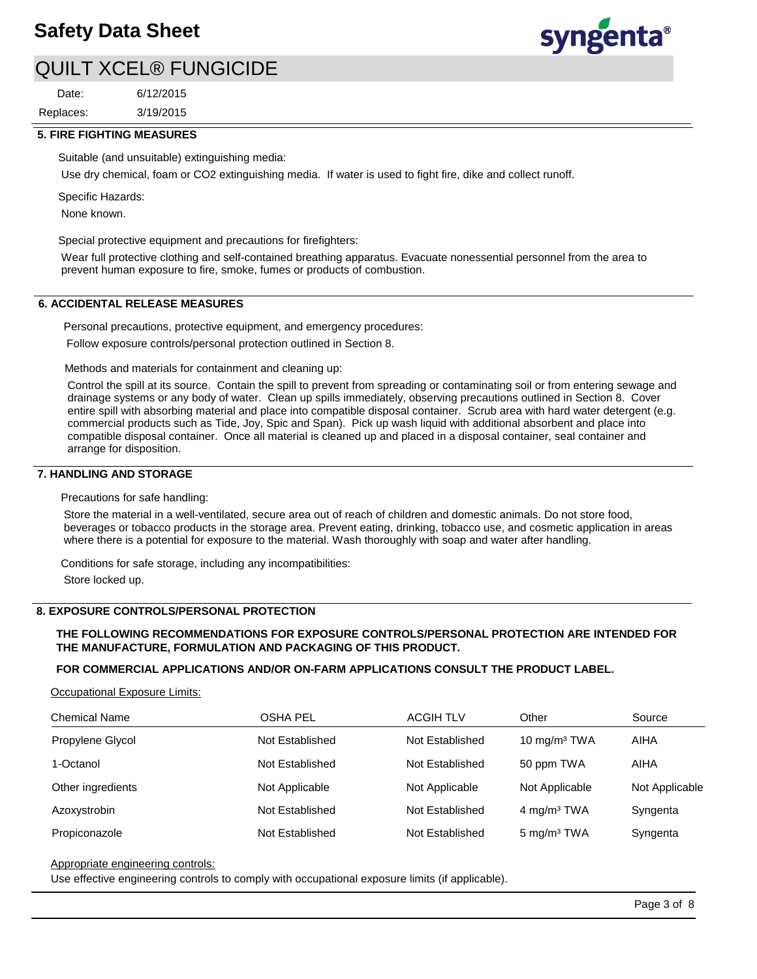3/19/2015 6/12/2015 Replaces: Date:



### **5. FIRE FIGHTING MEASURES**

Suitable (and unsuitable) extinguishing media:

Use dry chemical, foam or CO2 extinguishing media. If water is used to fight fire, dike and collect runoff.

Specific Hazards:

None known.

Special protective equipment and precautions for firefighters:

Wear full protective clothing and self-contained breathing apparatus. Evacuate nonessential personnel from the area to prevent human exposure to fire, smoke, fumes or products of combustion.

### **6. ACCIDENTAL RELEASE MEASURES**

Personal precautions, protective equipment, and emergency procedures: Follow exposure controls/personal protection outlined in Section 8.

Methods and materials for containment and cleaning up:

Control the spill at its source. Contain the spill to prevent from spreading or contaminating soil or from entering sewage and drainage systems or any body of water. Clean up spills immediately, observing precautions outlined in Section 8. Cover entire spill with absorbing material and place into compatible disposal container. Scrub area with hard water detergent (e.g. commercial products such as Tide, Joy, Spic and Span). Pick up wash liquid with additional absorbent and place into compatible disposal container. Once all material is cleaned up and placed in a disposal container, seal container and arrange for disposition.

## **7. HANDLING AND STORAGE**

Precautions for safe handling:

Store the material in a well-ventilated, secure area out of reach of children and domestic animals. Do not store food, beverages or tobacco products in the storage area. Prevent eating, drinking, tobacco use, and cosmetic application in areas where there is a potential for exposure to the material. Wash thoroughly with soap and water after handling.

Conditions for safe storage, including any incompatibilities:

Store locked up.

## **8. EXPOSURE CONTROLS/PERSONAL PROTECTION**

## **THE FOLLOWING RECOMMENDATIONS FOR EXPOSURE CONTROLS/PERSONAL PROTECTION ARE INTENDED FOR THE MANUFACTURE, FORMULATION AND PACKAGING OF THIS PRODUCT.**

## **FOR COMMERCIAL APPLICATIONS AND/OR ON-FARM APPLICATIONS CONSULT THE PRODUCT LABEL.**

## Occupational Exposure Limits:

| <b>Chemical Name</b> | <b>OSHA PEL</b> | <b>ACGIH TLV</b> | Other                    | Source         |
|----------------------|-----------------|------------------|--------------------------|----------------|
| Propylene Glycol     | Not Established | Not Established  | 10 mg/m <sup>3</sup> TWA | AIHA           |
| 1-Octanol            | Not Established | Not Established  | 50 ppm TWA               | AIHA           |
| Other ingredients    | Not Applicable  | Not Applicable   | Not Applicable           | Not Applicable |
| Azoxystrobin         | Not Established | Not Established  | 4 mg/m <sup>3</sup> TWA  | Syngenta       |
| Propiconazole        | Not Established | Not Established  | 5 mg/m <sup>3</sup> TWA  | Syngenta       |

#### Appropriate engineering controls:

Use effective engineering controls to comply with occupational exposure limits (if applicable).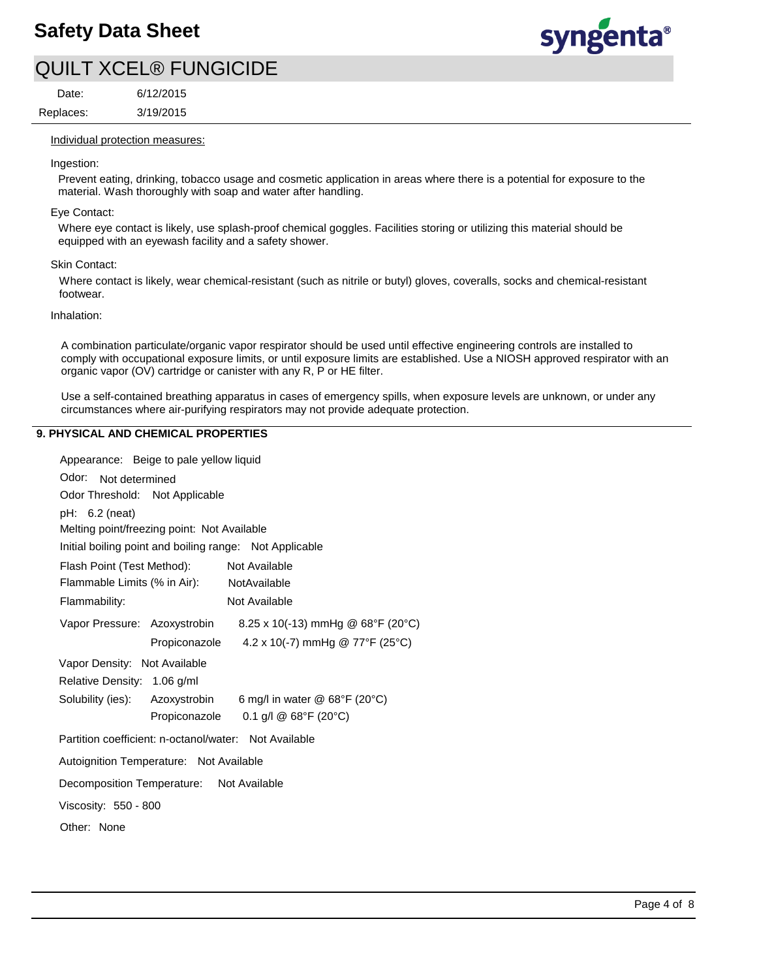

Replaces: Date:

3/19/2015 6/12/2015

#### Individual protection measures:

#### Ingestion:

Prevent eating, drinking, tobacco usage and cosmetic application in areas where there is a potential for exposure to the material. Wash thoroughly with soap and water after handling.

#### Eye Contact:

Where eye contact is likely, use splash-proof chemical goggles. Facilities storing or utilizing this material should be equipped with an eyewash facility and a safety shower.

#### Skin Contact:

Where contact is likely, wear chemical-resistant (such as nitrile or butyl) gloves, coveralls, socks and chemical-resistant footwear.

#### Inhalation:

A combination particulate/organic vapor respirator should be used until effective engineering controls are installed to comply with occupational exposure limits, or until exposure limits are established. Use a NIOSH approved respirator with an organic vapor (OV) cartridge or canister with any R, P or HE filter.

Use a self-contained breathing apparatus in cases of emergency spills, when exposure levels are unknown, or under any circumstances where air-purifying respirators may not provide adequate protection.

#### **9. PHYSICAL AND CHEMICAL PROPERTIES**

| Appearance: Beige to pale yellow liquid                        |
|----------------------------------------------------------------|
| Odor: Not determined                                           |
| Odor Threshold: Not Applicable                                 |
| $pH: 6.2$ (neat)                                               |
| Melting point/freezing point: Not Available                    |
| Initial boiling point and boiling range: Not Applicable        |
| Flash Point (Test Method):<br>Not Available                    |
| Flammable Limits (% in Air): NotAvailable                      |
| Flammability:<br>Not Available                                 |
| Vapor Pressure: Azoxystrobin 8.25 x 10(-13) mmHg @ 68°F (20°C) |
| 4.2 x 10(-7) mmHg @ 77°F (25°C)<br>Propiconazole               |
| Vapor Density: Not Available                                   |
| Relative Density: 1.06 g/ml                                    |
| Solubility (ies): Azoxystrobin 6 mg/l in water @ 68°F (20°C)   |
| 0.1 g/l @ $68^{\circ}F(20^{\circ}C)$<br>Propiconazole          |
| Partition coefficient: n-octanol/water: Not Available          |
| Autoignition Temperature: Not Available                        |
| Decomposition Temperature: Not Available                       |
| Viscosity: 550 - 800                                           |
| Other: None                                                    |
|                                                                |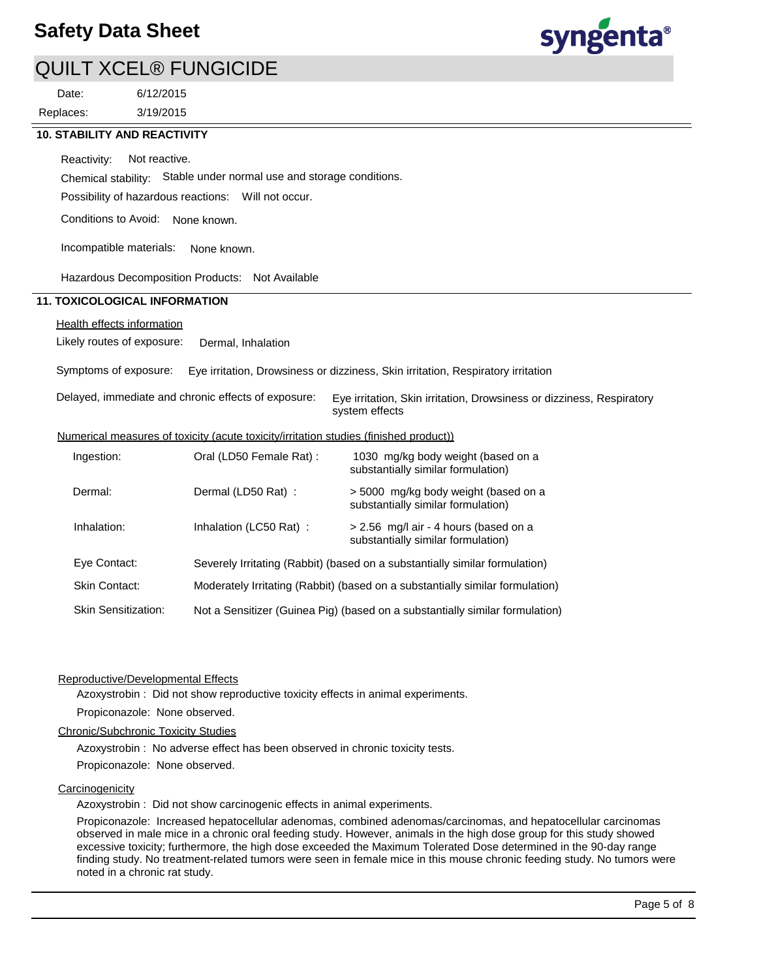

3/19/2015 6/12/2015 Replaces: Date:



## **10. STABILITY AND REACTIVITY**

Chemical stability: Stable under normal use and storage conditions. Reactivity: Not reactive.

Possibility of hazardous reactions: Will not occur.

Conditions to Avoid: None known.

Incompatible materials: None known.

Hazardous Decomposition Products: Not Available

## **11. TOXICOLOGICAL INFORMATION**

## Health effects information

Likely routes of exposure: Dermal, Inhalation

Symptoms of exposure: Eye irritation, Drowsiness or dizziness, Skin irritation, Respiratory irritation

| Delayed, immediate and chronic effects of exposure: Eye irritation, Skin irritation, Drowsiness or dizziness, Respiratory |
|---------------------------------------------------------------------------------------------------------------------------|
| system effects                                                                                                            |

#### Numerical measures of toxicity (acute toxicity/irritation studies (finished product))

| Ingestion:                 | Oral (LD50 Female Rat): | 1030 mg/kg body weight (based on a<br>substantially similar formulation)      |
|----------------------------|-------------------------|-------------------------------------------------------------------------------|
| Dermal:                    | Dermal (LD50 Rat):      | > 5000 mg/kg body weight (based on a<br>substantially similar formulation)    |
| Inhalation:                | Inhalation (LC50 Rat):  | > 2.56 mg/l air - 4 hours (based on a<br>substantially similar formulation)   |
| Eye Contact:               |                         | Severely Irritating (Rabbit) (based on a substantially similar formulation)   |
| Skin Contact:              |                         | Moderately Irritating (Rabbit) (based on a substantially similar formulation) |
| <b>Skin Sensitization:</b> |                         | Not a Sensitizer (Guinea Pig) (based on a substantially similar formulation)  |

#### Reproductive/Developmental Effects

Azoxystrobin : Did not show reproductive toxicity effects in animal experiments.

## Propiconazole: None observed.

## Chronic/Subchronic Toxicity Studies

Azoxystrobin : No adverse effect has been observed in chronic toxicity tests.

Propiconazole: None observed.

## **Carcinogenicity**

Azoxystrobin : Did not show carcinogenic effects in animal experiments.

Propiconazole: Increased hepatocellular adenomas, combined adenomas/carcinomas, and hepatocellular carcinomas observed in male mice in a chronic oral feeding study. However, animals in the high dose group for this study showed excessive toxicity; furthermore, the high dose exceeded the Maximum Tolerated Dose determined in the 90-day range finding study. No treatment-related tumors were seen in female mice in this mouse chronic feeding study. No tumors were noted in a chronic rat study.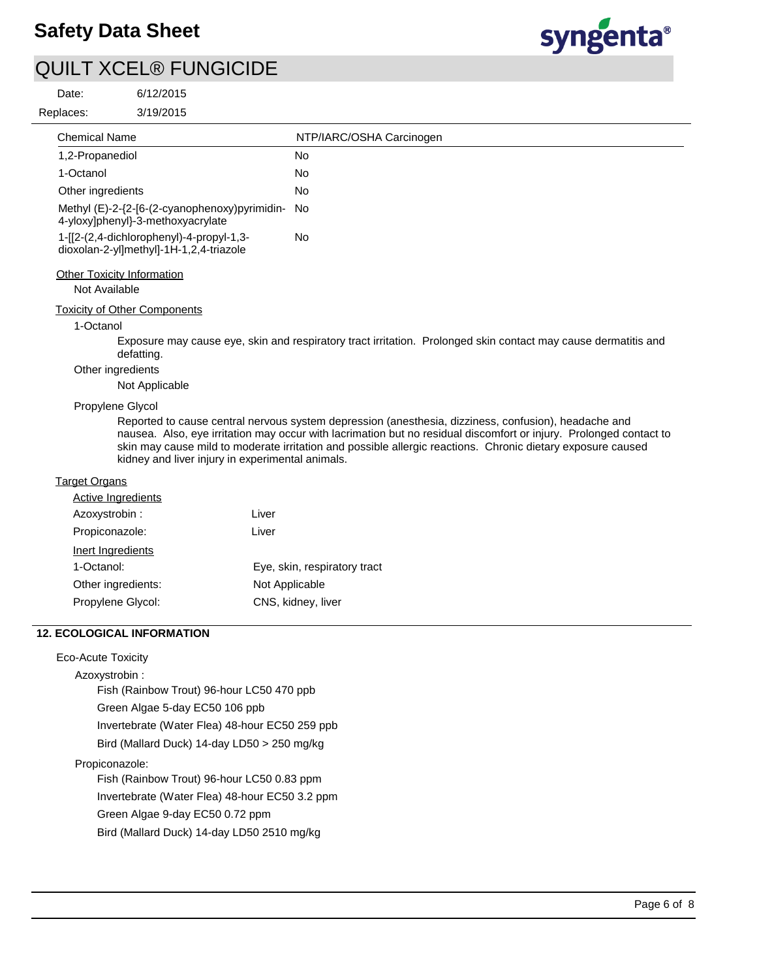

syngenta®

| Date:                     | 6/12/2015                                                                           |                                                                                                                                                                                                                                                                                                                                           |
|---------------------------|-------------------------------------------------------------------------------------|-------------------------------------------------------------------------------------------------------------------------------------------------------------------------------------------------------------------------------------------------------------------------------------------------------------------------------------------|
| Replaces:                 | 3/19/2015                                                                           |                                                                                                                                                                                                                                                                                                                                           |
| <b>Chemical Name</b>      |                                                                                     | NTP/IARC/OSHA Carcinogen                                                                                                                                                                                                                                                                                                                  |
| 1,2-Propanediol           |                                                                                     | No                                                                                                                                                                                                                                                                                                                                        |
| 1-Octanol                 |                                                                                     | No                                                                                                                                                                                                                                                                                                                                        |
| Other ingredients         |                                                                                     | No                                                                                                                                                                                                                                                                                                                                        |
|                           | Methyl (E)-2-{2-[6-(2-cyanophenoxy)pyrimidin-<br>4-yloxy]phenyl}-3-methoxyacrylate  | No                                                                                                                                                                                                                                                                                                                                        |
|                           | 1-[[2-(2,4-dichlorophenyl)-4-propyl-1,3-<br>dioxolan-2-yl]methyl]-1H-1,2,4-triazole | <b>No</b>                                                                                                                                                                                                                                                                                                                                 |
| Not Available             | <b>Other Toxicity Information</b>                                                   |                                                                                                                                                                                                                                                                                                                                           |
|                           | <b>Toxicity of Other Components</b>                                                 |                                                                                                                                                                                                                                                                                                                                           |
| 1-Octanol                 |                                                                                     |                                                                                                                                                                                                                                                                                                                                           |
|                           | defatting.                                                                          | Exposure may cause eye, skin and respiratory tract irritation. Prolonged skin contact may cause dermatitis and                                                                                                                                                                                                                            |
|                           | Other ingredients                                                                   |                                                                                                                                                                                                                                                                                                                                           |
|                           | Not Applicable                                                                      |                                                                                                                                                                                                                                                                                                                                           |
|                           | Propylene Glycol                                                                    |                                                                                                                                                                                                                                                                                                                                           |
|                           | kidney and liver injury in experimental animals.                                    | Reported to cause central nervous system depression (anesthesia, dizziness, confusion), headache and<br>nausea. Also, eye irritation may occur with lacrimation but no residual discomfort or injury. Prolonged contact to<br>skin may cause mild to moderate irritation and possible allergic reactions. Chronic dietary exposure caused |
| <b>Target Organs</b>      |                                                                                     |                                                                                                                                                                                                                                                                                                                                           |
|                           | <b>Active Ingredients</b>                                                           |                                                                                                                                                                                                                                                                                                                                           |
| Azoxystrobin:             | Liver                                                                               |                                                                                                                                                                                                                                                                                                                                           |
| Propiconazole:            | Liver                                                                               |                                                                                                                                                                                                                                                                                                                                           |
| Inert Ingredients         |                                                                                     |                                                                                                                                                                                                                                                                                                                                           |
| 1-Octanol:                |                                                                                     | Eye, skin, respiratory tract                                                                                                                                                                                                                                                                                                              |
|                           | Other ingredients:                                                                  | Not Applicable                                                                                                                                                                                                                                                                                                                            |
|                           | Propylene Glycol:                                                                   | CNS, kidney, liver                                                                                                                                                                                                                                                                                                                        |
|                           | <b>12. ECOLOGICAL INFORMATION</b>                                                   |                                                                                                                                                                                                                                                                                                                                           |
| <b>Eco-Acute Toxicity</b> |                                                                                     |                                                                                                                                                                                                                                                                                                                                           |
| Azoxystrobin :            |                                                                                     |                                                                                                                                                                                                                                                                                                                                           |
|                           | Fish (Rainbow Trout) 96-hour LC50 470 ppb                                           |                                                                                                                                                                                                                                                                                                                                           |
|                           | Green Algae 5-day EC50 106 ppb                                                      |                                                                                                                                                                                                                                                                                                                                           |
|                           | Invertebrate (Water Flea) 48-hour EC50 259 ppb                                      |                                                                                                                                                                                                                                                                                                                                           |
|                           | Bird (Mallard Duck) 14-day LD50 > 250 mg/kg                                         |                                                                                                                                                                                                                                                                                                                                           |
| Propiconazole:            |                                                                                     |                                                                                                                                                                                                                                                                                                                                           |
|                           | Fish (Rainbow Trout) 96-hour LC50 0.83 ppm                                          |                                                                                                                                                                                                                                                                                                                                           |
|                           | Invertebrate (Water Flea) 48-hour EC50 3.2 ppm                                      |                                                                                                                                                                                                                                                                                                                                           |
|                           | Green Algae 9-day EC50 0.72 ppm                                                     |                                                                                                                                                                                                                                                                                                                                           |
|                           | Bird (Mallard Duck) 14-day LD50 2510 mg/kg                                          |                                                                                                                                                                                                                                                                                                                                           |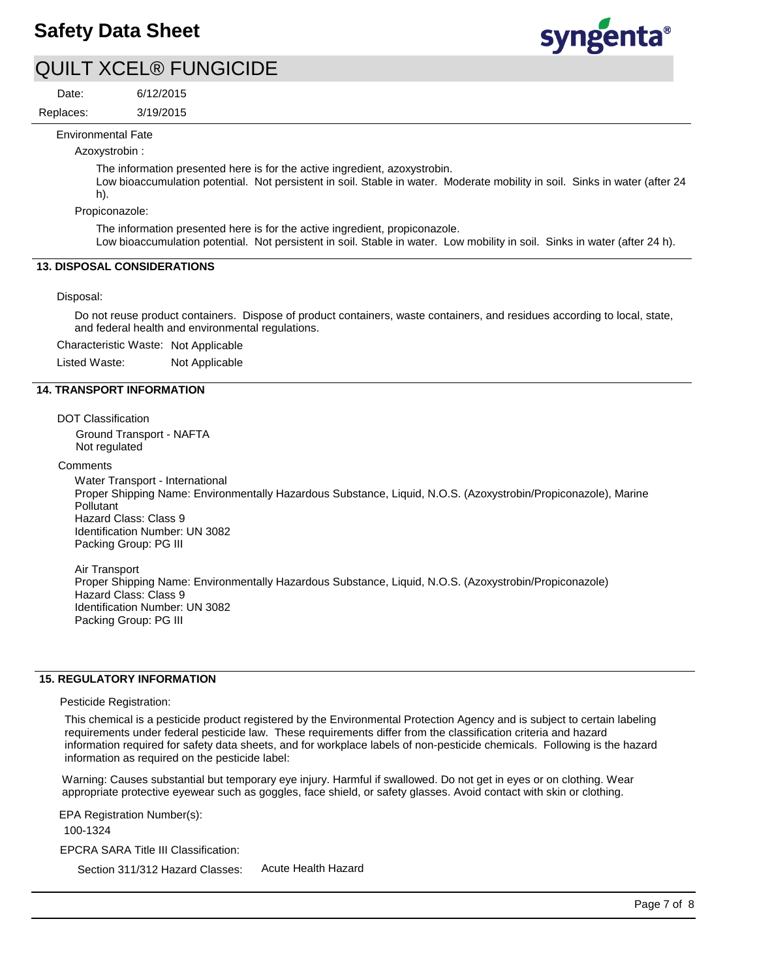

Date:

6/12/2015

3/19/2015 Replaces:

Environmental Fate

Azoxystrobin :

The information presented here is for the active ingredient, azoxystrobin.

Low bioaccumulation potential. Not persistent in soil. Stable in water. Moderate mobility in soil. Sinks in water (after 24 h).

Propiconazole:

The information presented here is for the active ingredient, propiconazole.

Low bioaccumulation potential. Not persistent in soil. Stable in water. Low mobility in soil. Sinks in water (after 24 h).

## **13. DISPOSAL CONSIDERATIONS**

Disposal:

Do not reuse product containers. Dispose of product containers, waste containers, and residues according to local, state, and federal health and environmental regulations.

Characteristic Waste: Not Applicable

Listed Waste: Not Applicable

## **14. TRANSPORT INFORMATION**

DOT Classification

Ground Transport - NAFTA Not regulated

**Comments** 

Water Transport - International

Proper Shipping Name: Environmentally Hazardous Substance, Liquid, N.O.S. (Azoxystrobin/Propiconazole), Marine **Pollutant** Hazard Class: Class 9 Identification Number: UN 3082

Packing Group: PG III

Air Transport Proper Shipping Name: Environmentally Hazardous Substance, Liquid, N.O.S. (Azoxystrobin/Propiconazole) Hazard Class: Class 9 Identification Number: UN 3082 Packing Group: PG III

## **15. REGULATORY INFORMATION**

Pesticide Registration:

This chemical is a pesticide product registered by the Environmental Protection Agency and is subject to certain labeling requirements under federal pesticide law. These requirements differ from the classification criteria and hazard information required for safety data sheets, and for workplace labels of non-pesticide chemicals. Following is the hazard information as required on the pesticide label:

Warning: Causes substantial but temporary eye injury. Harmful if swallowed. Do not get in eyes or on clothing. Wear appropriate protective eyewear such as goggles, face shield, or safety glasses. Avoid contact with skin or clothing.

EPCRA SARA Title III Classification: Section 311/312 Hazard Classes: EPA Registration Number(s): 100-1324

Acute Health Hazard